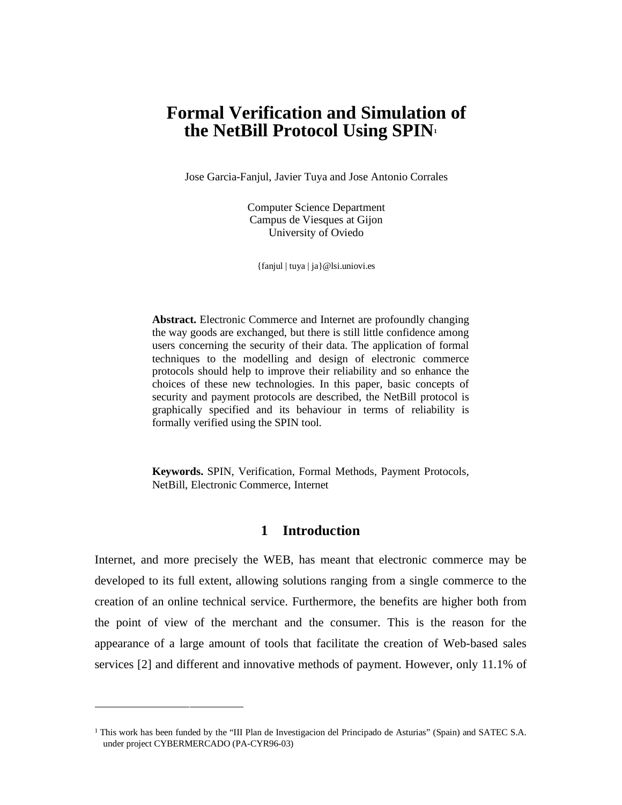# **Formal Verification and Simulation of the NetBill Protocol Using SPIN1**

Jose Garcia-Fanjul, Javier Tuya and Jose Antonio Corrales

Computer Science Department Campus de Viesques at Gijon University of Oviedo

{fanjul | tuya | ja}@lsi.uniovi.es

**Abstract.** Electronic Commerce and Internet are profoundly changing the way goods are exchanged, but there is still little confidence among users concerning the security of their data. The application of formal techniques to the modelling and design of electronic commerce protocols should help to improve their reliability and so enhance the choices of these new technologies. In this paper, basic concepts of security and payment protocols are described, the NetBill protocol is graphically specified and its behaviour in terms of reliability is formally verified using the SPIN tool.

**Keywords.** SPIN, Verification, Formal Methods, Payment Protocols, NetBill, Electronic Commerce, Internet

## **<sup>1</sup> Introduction**

Internet, and more precisely the WEB, has meant that electronic commerce may be developed to its full extent, allowing solutions ranging from a single commerce to the creation of an online technical service. Furthermore, the benefits are higher both from the point of view of the merchant and the consumer. This is the reason for the appearance of a large amount of tools that facilitate the creation of Web-based sales services [2] and different and innovative methods of payment. However, only 11.1% of

-

<sup>1</sup> This work has been funded by the "III Plan de Investigacion del Principado de Asturias" (Spain) and SATEC S.A. under project CYBERMERCADO (PA-CYR96-03)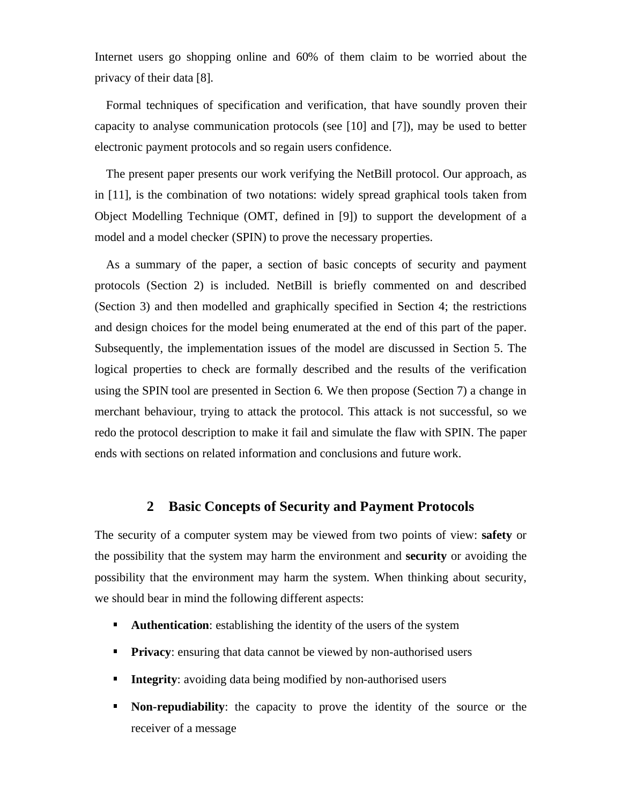Internet users go shopping online and 60% of them claim to be worried about the privacy of their data [8].

Formal techniques of specification and verification, that have soundly proven their capacity to analyse communication protocols (see [10] and [7]), may be used to better electronic payment protocols and so regain users confidence.

The present paper presents our work verifying the NetBill protocol. Our approach, as in [11], is the combination of two notations: widely spread graphical tools taken from Object Modelling Technique (OMT, defined in [9]) to support the development of a model and a model checker (SPIN) to prove the necessary properties.

As a summary of the paper, a section of basic concepts of security and payment protocols (Section 2) is included. NetBill is briefly commented on and described (Section 3) and then modelled and graphically specified in Section 4; the restrictions and design choices for the model being enumerated at the end of this part of the paper. Subsequently, the implementation issues of the model are discussed in Section 5. The logical properties to check are formally described and the results of the verification using the SPIN tool are presented in Section 6. We then propose (Section 7) a change in merchant behaviour, trying to attack the protocol. This attack is not successful, so we redo the protocol description to make it fail and simulate the flaw with SPIN. The paper ends with sections on related information and conclusions and future work.

## **<sup>2</sup> Basic Concepts of Security and Payment Protocols**

The security of a computer system may be viewed from two points of view: **safety** or the possibility that the system may harm the environment and **security** or avoiding the possibility that the environment may harm the system. When thinking about security, we should bear in mind the following different aspects:

- **Authentication:** establishing the identity of the users of the system
- **Privacy**: ensuring that data cannot be viewed by non-authorised users
- **Integrity**: avoiding data being modified by non-authorised users
- **Non-repudiability**: the capacity to prove the identity of the source or the receiver of a message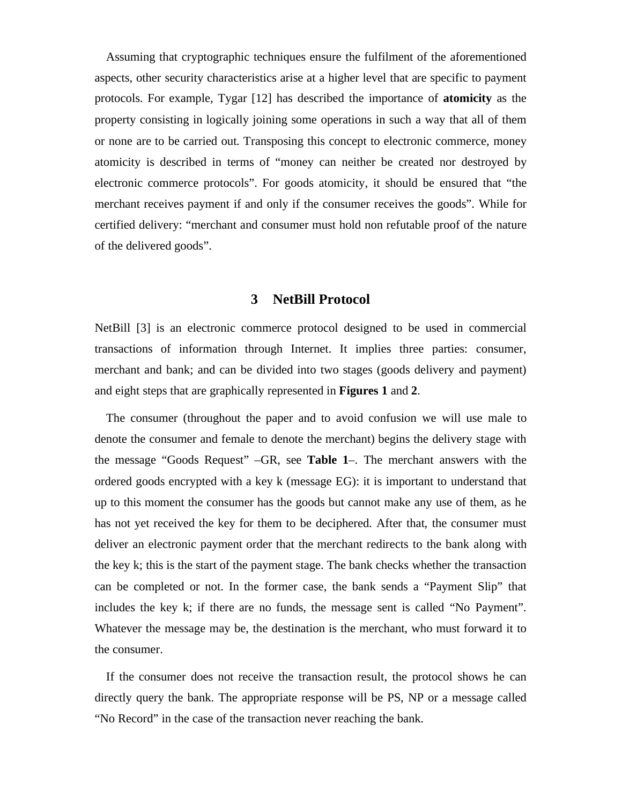Assuming that cryptographic techniques ensure the fulfilment of the aforementioned aspects, other security characteristics arise at a higher level that are specific to payment protocols. For example, Tygar [12] has described the importance of **atomicity** as the property consisting in logically joining some operations in such a way that all of them or none are to be carried out. Transposing this concept to electronic commerce, money atomicity is described in terms of "money can neither be created nor destroyed by electronic commerce protocols". For goods atomicity, it should be ensured that "the merchant receives payment if and only if the consumer receives the goods". While for certified delivery: "merchant and consumer must hold non refutable proof of the nature of the delivered goods".

## **<sup>3</sup> NetBill Protocol**

NetBill [3] is an electronic commerce protocol designed to be used in commercial transactions of information through Internet. It implies three parties: consumer, merchant and bank; and can be divided into two stages (goods delivery and payment) and eight steps that are graphically represented in **Figures 1** and **2**.

The consumer (throughout the paper and to avoid confusion we will use male to denote the consumer and female to denote the merchant) begins the delivery stage with the message "Goods Request" –GR, see **Table 1**–. The merchant answers with the ordered goods encrypted with a key k (message EG): it is important to understand that up to this moment the consumer has the goods but cannot make any use of them, as he has not yet received the key for them to be deciphered. After that, the consumer must deliver an electronic payment order that the merchant redirects to the bank along with the key k; this is the start of the payment stage. The bank checks whether the transaction can be completed or not. In the former case, the bank sends a "Payment Slip" that includes the key k; if there are no funds, the message sent is called "No Payment". Whatever the message may be, the destination is the merchant, who must forward it to the consumer.

If the consumer does not receive the transaction result, the protocol shows he can directly query the bank. The appropriate response will be PS, NP or a message called "No Record" in the case of the transaction never reaching the bank.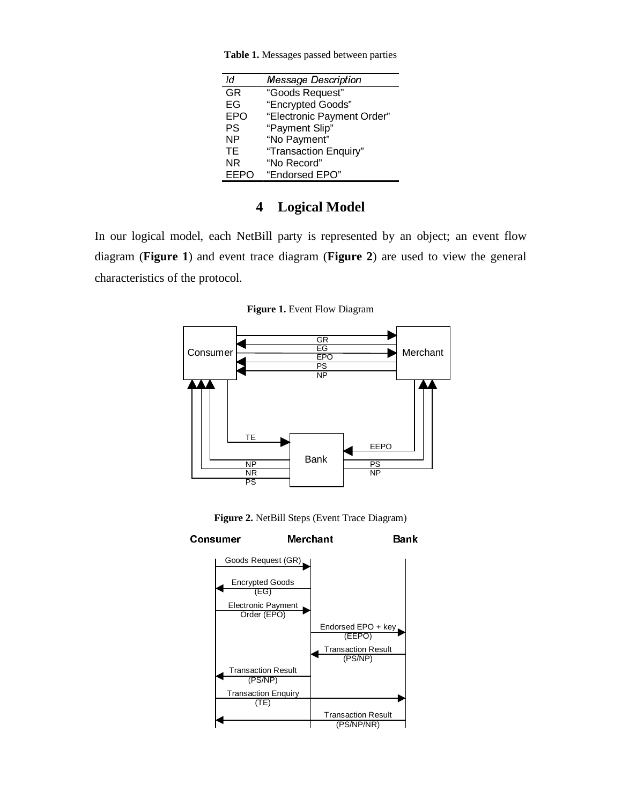| ld          | <b>Message Description</b> |
|-------------|----------------------------|
| <b>GR</b>   | "Goods Request"            |
| EG          | "Encrypted Goods"          |
| <b>EPO</b>  | "Electronic Payment Order" |
| PS          | "Payment Slip"             |
| ΝP          | "No Payment"               |
| ТE          | "Transaction Enquiry"      |
| ΝR          | "No Record"                |
| <b>EEPO</b> | "Endorsed EPO"             |

**Table 1.** Messages passed between parties

## **<sup>4</sup> Logical Model**

In our logical model, each NetBill party is represented by an object; an event flow diagram (**Figure 1**) and event trace diagram (**Figure 2**) are used to view the general characteristics of the protocol.

**Figure 1.** Event Flow Diagram



**Figure 2.** NetBill Steps (Event Trace Diagram)

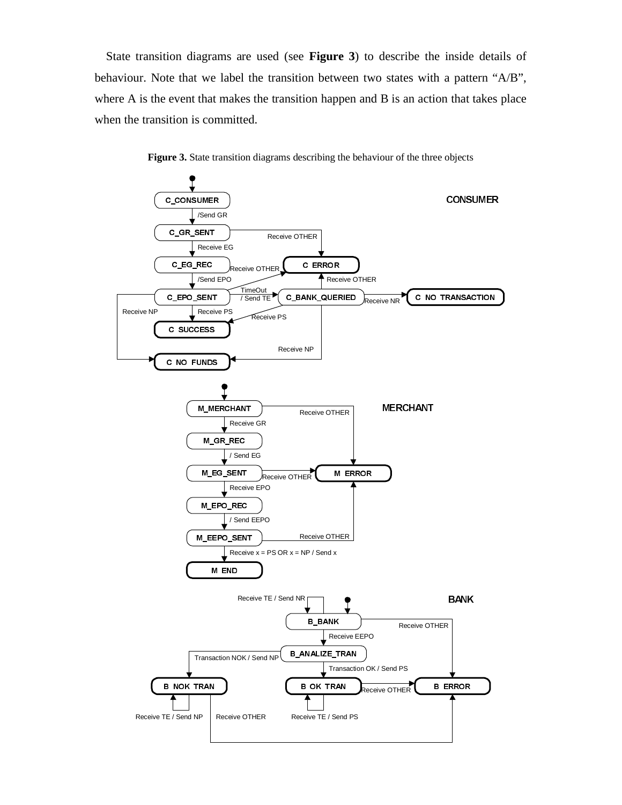State transition diagrams are used (see **Figure 3**) to describe the inside details of behaviour. Note that we label the transition between two states with a pattern "A/B", where A is the event that makes the transition happen and B is an action that takes place when the transition is committed.



**Figure 3.** State transition diagrams describing the behaviour of the three objects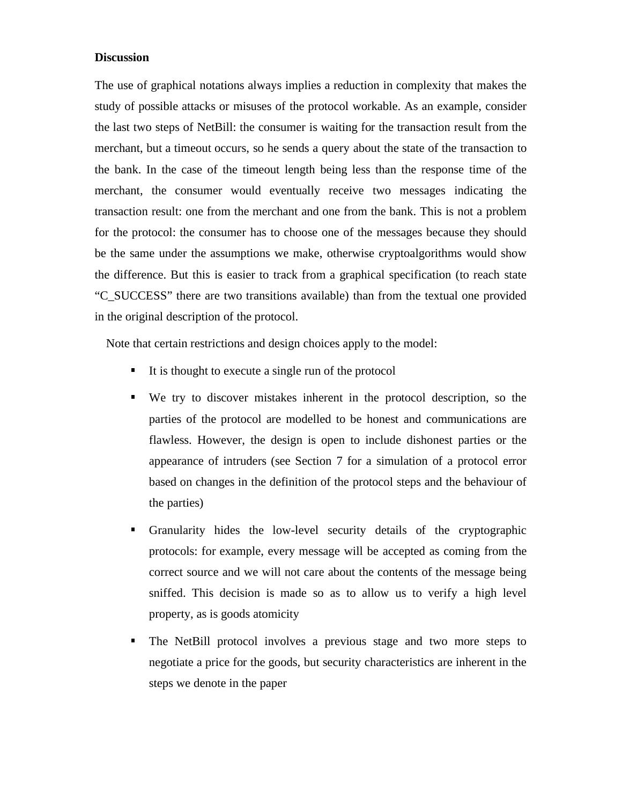#### **Discussion**

The use of graphical notations always implies a reduction in complexity that makes the study of possible attacks or misuses of the protocol workable. As an example, consider the last two steps of NetBill: the consumer is waiting for the transaction result from the merchant, but a timeout occurs, so he sends a query about the state of the transaction to the bank. In the case of the timeout length being less than the response time of the merchant, the consumer would eventually receive two messages indicating the transaction result: one from the merchant and one from the bank. This is not a problem for the protocol: the consumer has to choose one of the messages because they should be the same under the assumptions we make, otherwise cryptoalgorithms would show the difference. But this is easier to track from a graphical specification (to reach state "C\_SUCCESS" there are two transitions available) than from the textual one provided in the original description of the protocol.

Note that certain restrictions and design choices apply to the model:

- It is thought to execute a single run of the protocol
- We try to discover mistakes inherent in the protocol description, so the parties of the protocol are modelled to be honest and communications are flawless. However, the design is open to include dishonest parties or the appearance of intruders (see Section 7 for a simulation of a protocol error based on changes in the definition of the protocol steps and the behaviour of the parties)
- Granularity hides the low-level security details of the cryptographic protocols: for example, every message will be accepted as coming from the correct source and we will not care about the contents of the message being sniffed. This decision is made so as to allow us to verify a high level property, as is goods atomicity
- The NetBill protocol involves a previous stage and two more steps to negotiate a price for the goods, but security characteristics are inherent in the steps we denote in the paper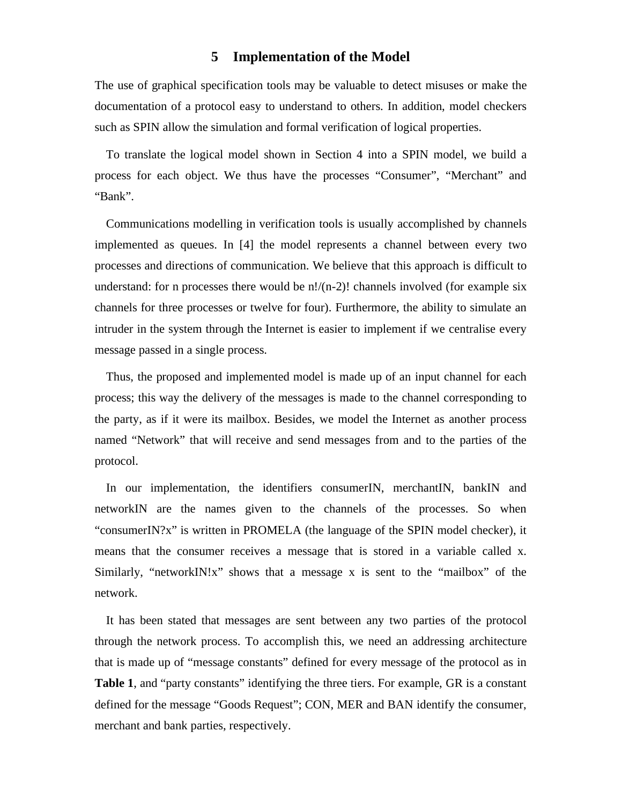## **<sup>5</sup> Implementation of the Model**

The use of graphical specification tools may be valuable to detect misuses or make the documentation of a protocol easy to understand to others. In addition, model checkers such as SPIN allow the simulation and formal verification of logical properties.

To translate the logical model shown in Section 4 into a SPIN model, we build a process for each object. We thus have the processes "Consumer", "Merchant" and "Bank".

Communications modelling in verification tools is usually accomplished by channels implemented as queues. In [4] the model represents a channel between every two processes and directions of communication. We believe that this approach is difficult to understand: for n processes there would be  $n!/(n-2)!$  channels involved (for example six channels for three processes or twelve for four). Furthermore, the ability to simulate an intruder in the system through the Internet is easier to implement if we centralise every message passed in a single process.

Thus, the proposed and implemented model is made up of an input channel for each process; this way the delivery of the messages is made to the channel corresponding to the party, as if it were its mailbox. Besides, we model the Internet as another process named "Network" that will receive and send messages from and to the parties of the protocol.

In our implementation, the identifiers consumerIN, merchantIN, bankIN and networkIN are the names given to the channels of the processes. So when "consumerIN?x" is written in PROMELA (the language of the SPIN model checker), it means that the consumer receives a message that is stored in a variable called x. Similarly, "networkIN!x" shows that a message x is sent to the "mailbox" of the network.

It has been stated that messages are sent between any two parties of the protocol through the network process. To accomplish this, we need an addressing architecture that is made up of "message constants" defined for every message of the protocol as in **Table 1**, and "party constants" identifying the three tiers. For example, GR is a constant defined for the message "Goods Request"; CON, MER and BAN identify the consumer, merchant and bank parties, respectively.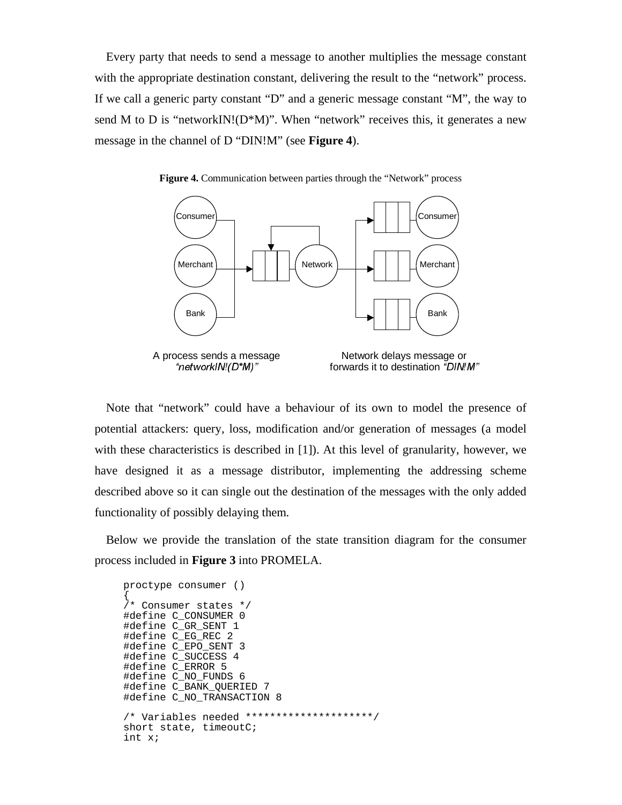Every party that needs to send a message to another multiplies the message constant with the appropriate destination constant, delivering the result to the "network" process. If we call a generic party constant "D" and a generic message constant "M", the way to send M to D is "networkIN! $(D^*M)$ ". When "network" receives this, it generates a new message in the channel of D "DIN!M" (see **Figure 4**).





Note that "network" could have a behaviour of its own to model the presence of potential attackers: query, loss, modification and/or generation of messages (a model with these characteristics is described in [1]). At this level of granularity, however, we have designed it as a message distributor, implementing the addressing scheme described above so it can single out the destination of the messages with the only added functionality of possibly delaying them.

Below we provide the translation of the state transition diagram for the consumer process included in **Figure 3** into PROMELA.

```
proctype consumer ()
{
/* Consumer states */
#define C_CONSUMER 0
#define C_GR_SENT 1
#define C_EG_REC 2
#define C_EPO_SENT 3
#define C_SUCCESS 4
#define C_ERROR 5
#define C_NO_FUNDS 6
#define C_BANK_QUERIED 7
#define C_NO_TRANSACTION 8
/* Variables needed *********************/
short state, timeoutC;
int x;
```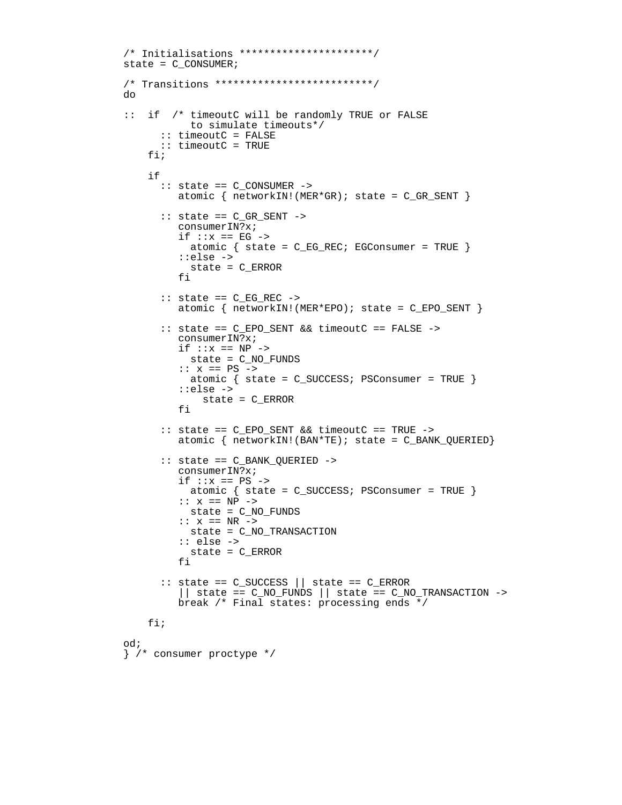```
/* Initialisations **********************/
state = C_CONSUMER;
/* Transitions **************************/
do
:: if /* timeoutC will be randomly TRUE or FALSE
            to simulate timeouts*/
       :: timeoutC = FALSE
       :: timeoutC = TRUE
     fi;
     if
       :: state == C_CONSUMER ->
         atomic \{ networkIN! (MER*GR); state = C_GR_SENT \} :: state == C_GR_SENT ->
          consumerIN?x;
         if ::x == EG -> atomic { state = C_EG_REC; EGConsumer = TRUE }
          ::else ->
           state = C_ERROR
          fi
       :: state == C_EG_REC ->
          atomic { networkIN!(MER*EPO); state = C_EPO_SENT }
       :: state == C_EPO_SENT && timeoutC == FALSE ->
          consumerIN?x;
         if ::x == NP -> state = C_NO_FUNDS
          :: x == PS ->
           atomic { state = C_SUCCESS; PSConsumer = TRUE }
          ::else ->
              state = C_ERROR
          fi
       :: state == C_EPO_SENT && timeoutC == TRUE ->
         atomic \{ networkIN! (BAN*TE); state = C_BANK_QUERIED\} :: state == C_BANK_QUERIED ->
          consumerIN?x;
         if ::x == PS - atomic { state = C_SUCCESS; PSConsumer = TRUE }
         :: x == NP -> state = C_NO_FUNDS
         :: x == NR -> state = C_NO_TRANSACTION
          :: else ->
            state = C_ERROR
          fi
       :: state == C_SUCCESS || state == C_ERROR
         || state == C_NO_FUNDS || state == C_NO_TRANSACTION ->
          break /* Final states: processing ends */
     fi;
od;
} /* consumer proctype */
```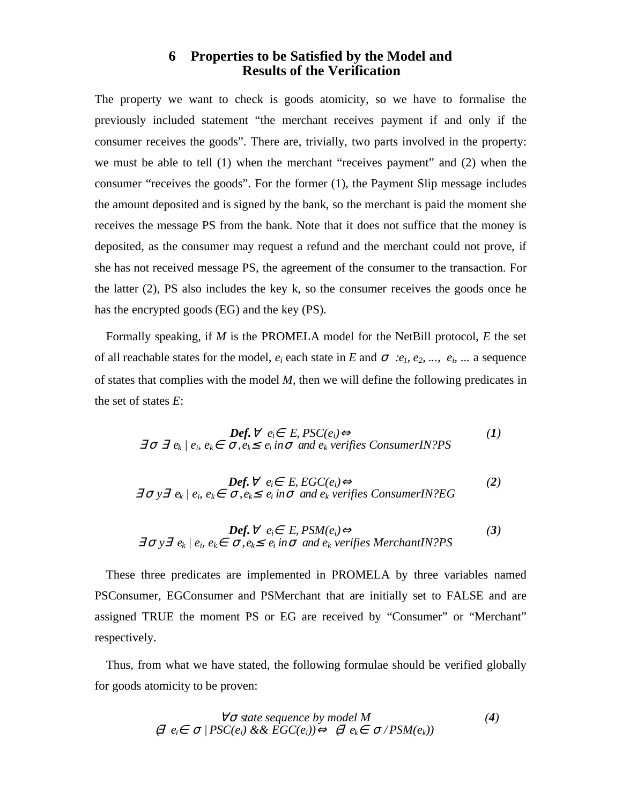## **<sup>6</sup> Properties to be Satisfied by the Model and Results of the Verification**

The property we want to check is goods atomicity, so we have to formalise the previously included statement "the merchant receives payment if and only if the consumer receives the goods". There are, trivially, two parts involved in the property: we must be able to tell (1) when the merchant "receives payment" and (2) when the consumer "receives the goods". For the former (1), the Payment Slip message includes the amount deposited and is signed by the bank, so the merchant is paid the moment she receives the message PS from the bank. Note that it does not suffice that the money is deposited, as the consumer may request a refund and the merchant could not prove, if she has not received message PS, the agreement of the consumer to the transaction. For the latter (2), PS also includes the key k, so the consumer receives the goods once he has the encrypted goods (EG) and the key (PS).

Formally speaking, if *M* is the PROMELA model for the NetBill protocol, *E* the set of all reachable states for the model,  $e_i$  each state in *E* and  $\sigma$  *:e<sub>1</sub>*, *e<sub>2</sub>*, *...,*  $e_i$  *...* a sequence of states that complies with the model *M*, then we will define the following predicates in the set of states *E*:

$$
\text{Def.} \ \forall \ e_i \in E, \text{PSC}(e_i) \Leftrightarrow
$$
\n
$$
\exists \ \sigma \ \exists \ e_k \mid e_i, \ e_k \in \ \sigma, e_k \leq \ e_i \ \text{in} \ \sigma \ \text{and} \ e_k \ \text{verifies} \ \text{ConsumerIN?PS} \tag{1}
$$

$$
\text{Def.} \ \forall \ e_i \in E, \ \text{EGC}(e_i) \Leftrightarrow \\
 \exists \ \sigma \ \forall \ \exists \ e_k \ | \ e_i, \ e_k \in \ \sigma, \ e_k \leq \ e_i \ \text{in} \ \sigma \ \text{and} \ e_k \ \text{verifies} \ \text{ConsumerIN?EG}
$$

$$
\text{Def.} \ \forall \ e_i \in E, \text{PSM}(e_i) \Leftrightarrow \\
 \exists \ \sigma \ \forall \ \exists \ e_k \ | \ e_i, \ e_k \in \ \sigma, e_k \leq e_i \ \text{in} \ \sigma \ \text{and} \ e_k \ \text{verifies } \text{MerchantIN?PS}
$$

These three predicates are implemented in PROMELA by three variables named PSConsumer, EGConsumer and PSMerchant that are initially set to FALSE and are assigned TRUE the moment PS or EG are received by "Consumer" or "Merchant" respectively.

Thus, from what we have stated, the following formulae should be verified globally for goods atomicity to be proven:

$$
\forall \sigma \text{ state sequence by model } M
$$
  
\n
$$
\theta \in \sigma / PSC(e_i) \& \& EGC(e_i)) \Leftrightarrow \theta \in \sigma / PSM(e_k)
$$
\n(4)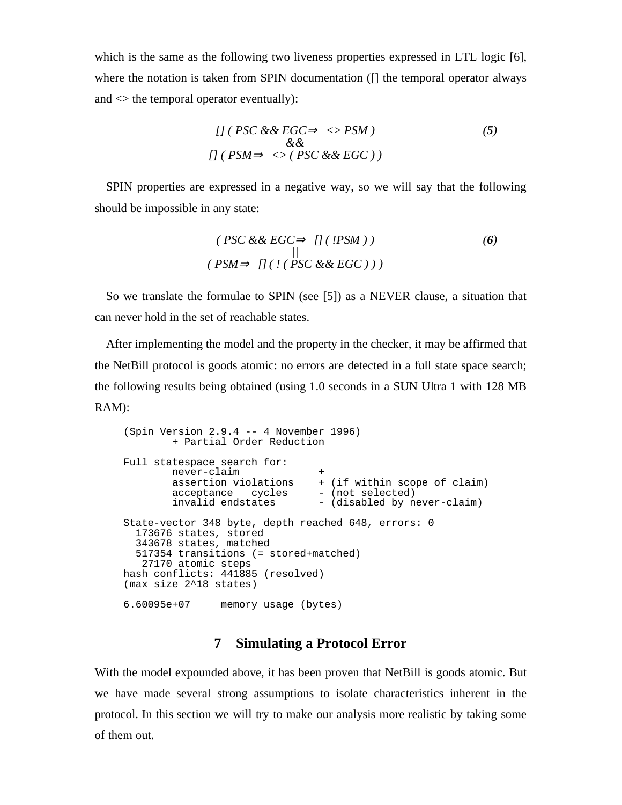which is the same as the following two liveness properties expressed in LTL logic [6], where the notation is taken from SPIN documentation ([] the temporal operator always and  $\leq$  the temporal operator eventually):

*[] ( PSC && EGC* ⇒ *<> PSM ) && [] ( PSM* ⇒ *<> ( PSC && EGC ) ) (5)*

SPIN properties are expressed in a negative way, so we will say that the following should be impossible in any state:

$$
(PSC && EGC \Rightarrow []('PSM))
$$
\n
$$
(PSM \Rightarrow []('PSC && EGC)))
$$
\n
$$
(PSM \Rightarrow []('PSC && EGC)))
$$

So we translate the formulae to SPIN (see [5]) as a NEVER clause, a situation that can never hold in the set of reachable states.

After implementing the model and the property in the checker, it may be affirmed that the NetBill protocol is goods atomic: no errors are detected in a full state space search; the following results being obtained (using 1.0 seconds in a SUN Ultra 1 with 128 MB RAM):

```
(Spin Version 2.9.4 -- 4 November 1996)
        + Partial Order Reduction
Full statespace search for:
 never-claim +
 assertion violations + (if within scope of claim)
acceptance cycles - (not selected)
invalid endstates - (disabled by never-claim)
State-vector 348 byte, depth reached 648, errors: 0
  173676 states, stored
  343678 states, matched
  517354 transitions (= stored+matched)
   27170 atomic steps
hash conflicts: 441885 (resolved)
(max size 2^18 states)
6.60095e+07 memory usage (bytes)
```
## **<sup>7</sup> Simulating a Protocol Error**

With the model expounded above, it has been proven that NetBill is goods atomic. But we have made several strong assumptions to isolate characteristics inherent in the protocol. In this section we will try to make our analysis more realistic by taking some of them out.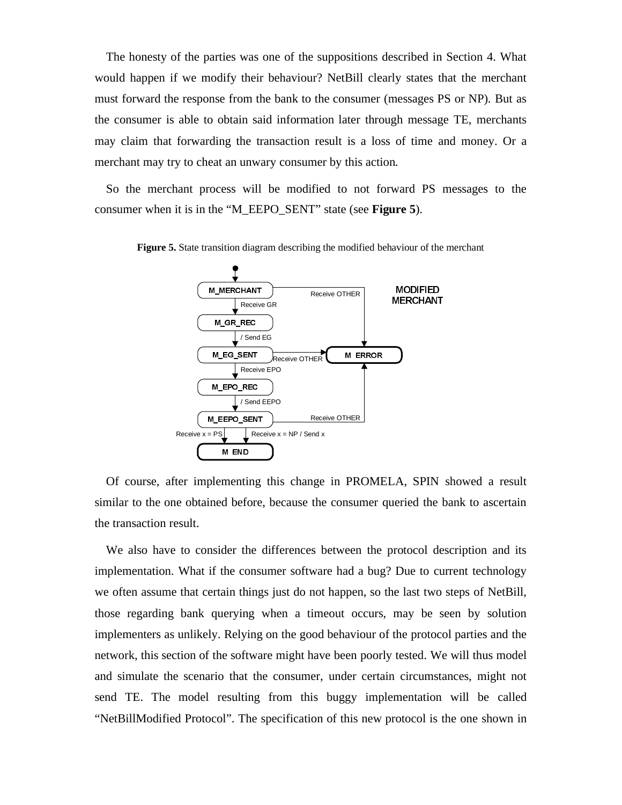The honesty of the parties was one of the suppositions described in Section 4. What would happen if we modify their behaviour? NetBill clearly states that the merchant must forward the response from the bank to the consumer (messages PS or NP). But as the consumer is able to obtain said information later through message TE, merchants may claim that forwarding the transaction result is a loss of time and money. Or a merchant may try to cheat an unwary consumer by this action.

So the merchant process will be modified to not forward PS messages to the consumer when it is in the "M\_EEPO\_SENT" state (see **Figure 5**).



**Figure 5.** State transition diagram describing the modified behaviour of the merchant

Of course, after implementing this change in PROMELA, SPIN showed a result similar to the one obtained before, because the consumer queried the bank to ascertain the transaction result.

We also have to consider the differences between the protocol description and its implementation. What if the consumer software had a bug? Due to current technology we often assume that certain things just do not happen, so the last two steps of NetBill, those regarding bank querying when a timeout occurs, may be seen by solution implementers as unlikely. Relying on the good behaviour of the protocol parties and the network, this section of the software might have been poorly tested. We will thus model and simulate the scenario that the consumer, under certain circumstances, might not send TE. The model resulting from this buggy implementation will be called "NetBillModified Protocol". The specification of this new protocol is the one shown in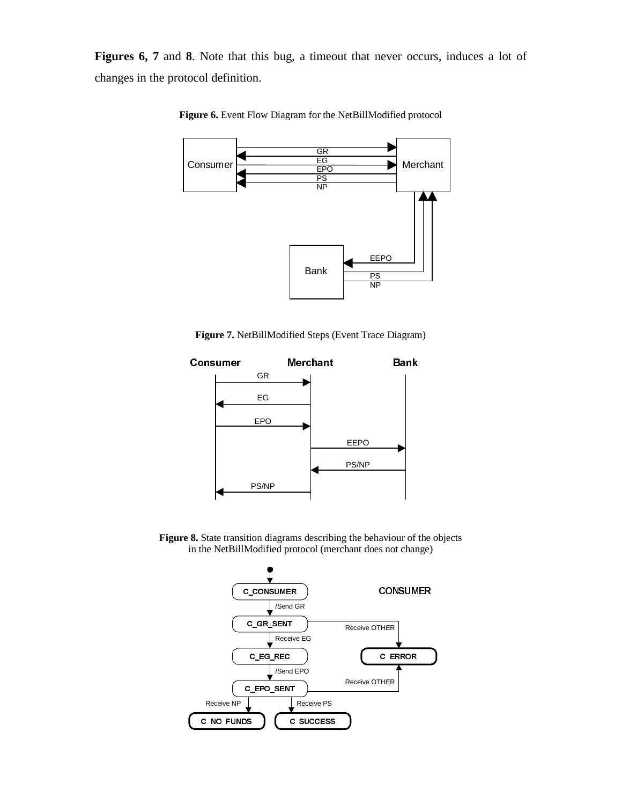**Figures 6, 7** and **8**. Note that this bug, a timeout that never occurs, induces a lot of changes in the protocol definition.



**Figure 6.** Event Flow Diagram for the NetBillModified protocol

**Figure 7.** NetBillModified Steps (Event Trace Diagram)



**Figure 8.** State transition diagrams describing the behaviour of the objects in the NetBillModified protocol (merchant does not change)

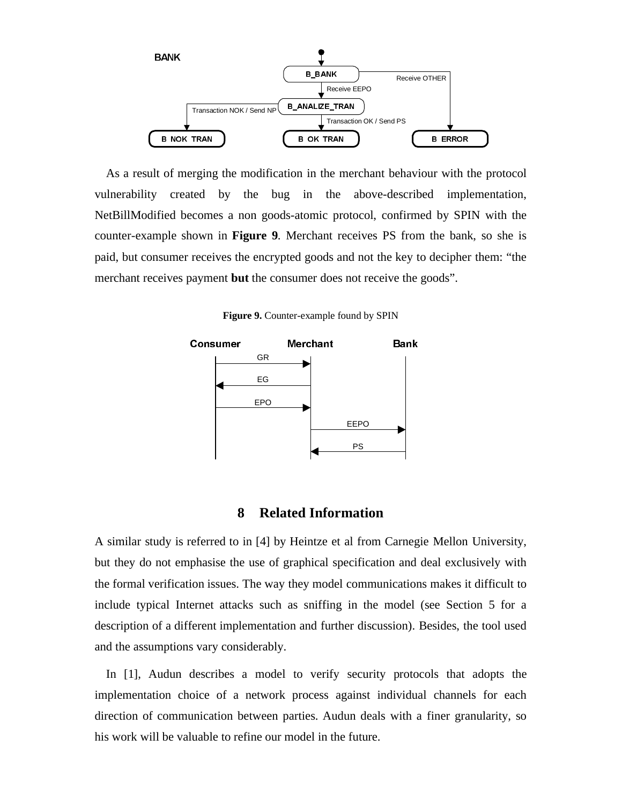

As a result of merging the modification in the merchant behaviour with the protocol vulnerability created by the bug in the above-described implementation, NetBillModified becomes a non goods-atomic protocol, confirmed by SPIN with the counter-example shown in **Figure 9**. Merchant receives PS from the bank, so she is paid, but consumer receives the encrypted goods and not the key to decipher them: "the merchant receives payment **but** the consumer does not receive the goods".

**Figure 9.** Counter-example found by SPIN



#### **<sup>8</sup> Related Information**

A similar study is referred to in [4] by Heintze et al from Carnegie Mellon University, but they do not emphasise the use of graphical specification and deal exclusively with the formal verification issues. The way they model communications makes it difficult to include typical Internet attacks such as sniffing in the model (see Section 5 for a description of a different implementation and further discussion). Besides, the tool used and the assumptions vary considerably.

In [1], Audun describes a model to verify security protocols that adopts the implementation choice of a network process against individual channels for each direction of communication between parties. Audun deals with a finer granularity, so his work will be valuable to refine our model in the future.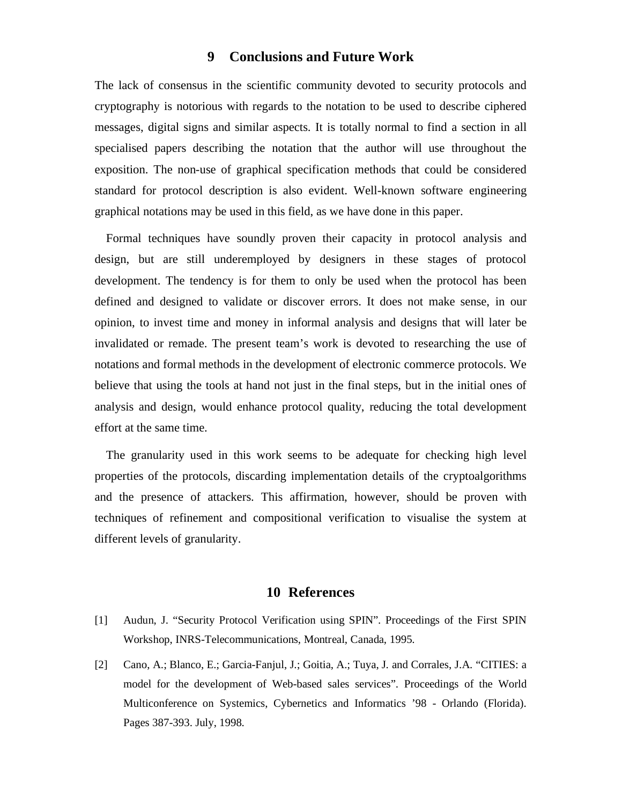## **<sup>9</sup> Conclusions and Future Work**

The lack of consensus in the scientific community devoted to security protocols and cryptography is notorious with regards to the notation to be used to describe ciphered messages, digital signs and similar aspects. It is totally normal to find a section in all specialised papers describing the notation that the author will use throughout the exposition. The non-use of graphical specification methods that could be considered standard for protocol description is also evident. Well-known software engineering graphical notations may be used in this field, as we have done in this paper.

Formal techniques have soundly proven their capacity in protocol analysis and design, but are still underemployed by designers in these stages of protocol development. The tendency is for them to only be used when the protocol has been defined and designed to validate or discover errors. It does not make sense, in our opinion, to invest time and money in informal analysis and designs that will later be invalidated or remade. The present team's work is devoted to researching the use of notations and formal methods in the development of electronic commerce protocols. We believe that using the tools at hand not just in the final steps, but in the initial ones of analysis and design, would enhance protocol quality, reducing the total development effort at the same time.

The granularity used in this work seems to be adequate for checking high level properties of the protocols, discarding implementation details of the cryptoalgorithms and the presence of attackers. This affirmation, however, should be proven with techniques of refinement and compositional verification to visualise the system at different levels of granularity.

#### **<sup>10</sup> References**

- [1] Audun, J. "Security Protocol Verification using SPIN". Proceedings of the First SPIN Workshop, INRS-Telecommunications, Montreal, Canada, 1995.
- [2] Cano, A.; Blanco, E.; Garcia-Fanjul, J.; Goitia, A.; Tuya, J. and Corrales, J.A. "CITIES: a model for the development of Web-based sales services". Proceedings of the World Multiconference on Systemics, Cybernetics and Informatics '98 - Orlando (Florida). Pages 387-393. July, 1998.